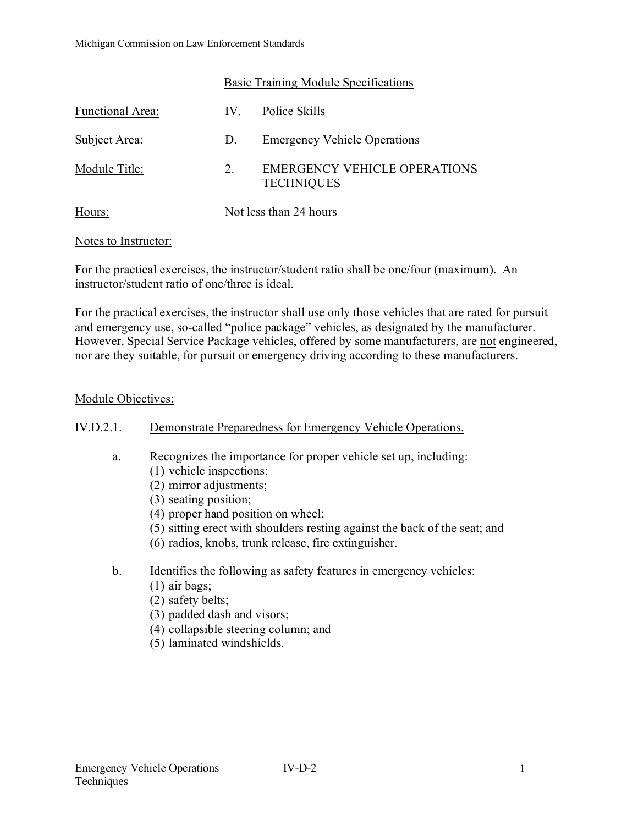|                         | Basic Training Module Specifications |                                                   |
|-------------------------|--------------------------------------|---------------------------------------------------|
| <b>Functional Area:</b> | $IV_{-}$                             | Police Skills                                     |
| Subject Area:           | D.                                   | <b>Emergency Vehicle Operations</b>               |
| Module Title:           | 2.                                   | EMERGENCY VEHICLE OPERATIONS<br><b>TECHNIQUES</b> |
| Hours:                  | Not less than 24 hours               |                                                   |

#### Notes to Instructor:

For the practical exercises, the instructor/student ratio shall be one/four (maximum). An instructor/student ratio of one/three is ideal.

For the practical exercises, the instructor shall use only those vehicles that are rated for pursuit and emergency use, so-called "police package" vehicles, as designated by the manufacturer. However, Special Service Package vehicles, offered by some manufacturers, are not engineered, nor are they suitable, for pursuit or emergency driving according to these manufacturers.

#### Module Objectives:

## IV.D.2.1. Demonstrate Preparedness for Emergency Vehicle Operations.

- a. Recognizes the importance for proper vehicle set up, including:
	- (1) vehicle inspections;
	- (2) mirror adjustments;
	- (3) seating position;
	- (4) proper hand position on wheel;
	- (5) sitting erect with shoulders resting against the back of the seat; and
	- (6) radios, knobs, trunk release, fire extinguisher.
- b. Identifies the following as safety features in emergency vehicles:
	- (1) air bags;
	- (2) safety belts;
	- (3) padded dash and visors;
	- (4) collapsible steering column; and
	- (5) laminated windshields.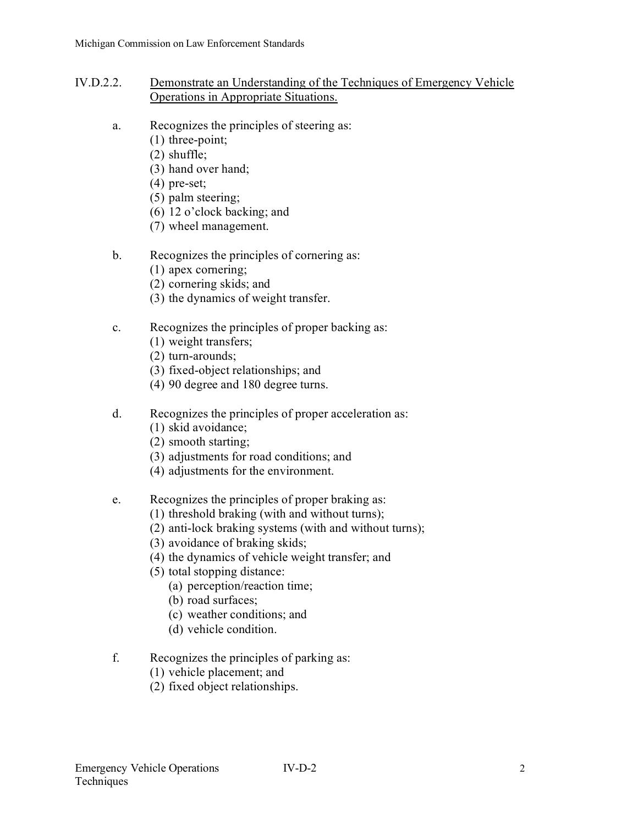- IV.D.2.2. Demonstrate an Understanding of the Techniques of Emergency Vehicle Operations in Appropriate Situations.
	- a. Recognizes the principles of steering as:
		- (1) three-point;
		- (2) shuffle;
		- (3) hand over hand;
		- (4) pre-set;
		- (5) palm steering;
		- (6) 12 o'clock backing; and
		- (7) wheel management.

# b. Recognizes the principles of cornering as:

- (1) apex cornering;
- (2) cornering skids; and
- (3) the dynamics of weight transfer.

# c. Recognizes the principles of proper backing as:

- (1) weight transfers;
- (2) turn-arounds;
- (3) fixed-object relationships; and
- (4) 90 degree and 180 degree turns.
- d. Recognizes the principles of proper acceleration as:
	- (1) skid avoidance;
	- (2) smooth starting;
	- (3) adjustments for road conditions; and
	- (4) adjustments for the environment.
- e. Recognizes the principles of proper braking as:
	- (1) threshold braking (with and without turns);
	- (2) anti-lock braking systems (with and without turns);
	- (3) avoidance of braking skids;
	- (4) the dynamics of vehicle weight transfer; and
	- (5) total stopping distance:
		- (a) perception/reaction time;
		- (b) road surfaces;
		- (c) weather conditions; and
		- (d) vehicle condition.
- f. Recognizes the principles of parking as:
	- (1) vehicle placement; and
	- (2) fixed object relationships.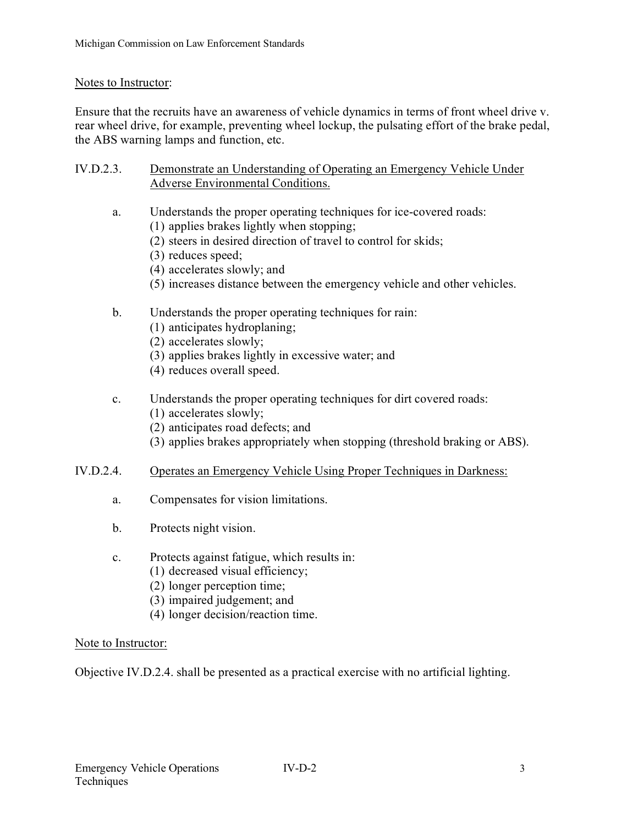## Notes to Instructor:

Ensure that the recruits have an awareness of vehicle dynamics in terms of front wheel drive v. rear wheel drive, for example, preventing wheel lockup, the pulsating effort of the brake pedal, the ABS warning lamps and function, etc.

- IV.D.2.3. Demonstrate an Understanding of Operating an Emergency Vehicle Under Adverse Environmental Conditions.
	- a. Understands the proper operating techniques for ice-covered roads:
		- (1) applies brakes lightly when stopping;
		- (2) steers in desired direction of travel to control for skids;
		- (3) reduces speed;
		- (4) accelerates slowly; and
		- (5) increases distance between the emergency vehicle and other vehicles.
	- b. Understands the proper operating techniques for rain:
		- (1) anticipates hydroplaning;
		- (2) accelerates slowly;
		- (3) applies brakes lightly in excessive water; and
		- (4) reduces overall speed.
	- c. Understands the proper operating techniques for dirt covered roads:
		- (1) accelerates slowly;
		- (2) anticipates road defects; and
		- (3) applies brakes appropriately when stopping (threshold braking or ABS).

#### IV.D.2.4. Operates an Emergency Vehicle Using Proper Techniques in Darkness:

- a. Compensates for vision limitations.
- b. Protects night vision.
- c. Protects against fatigue, which results in:
	- (1) decreased visual efficiency;
	- (2) longer perception time;
	- (3) impaired judgement; and
	- (4) longer decision/reaction time.

#### Note to Instructor:

Objective IV.D.2.4. shall be presented as a practical exercise with no artificial lighting.